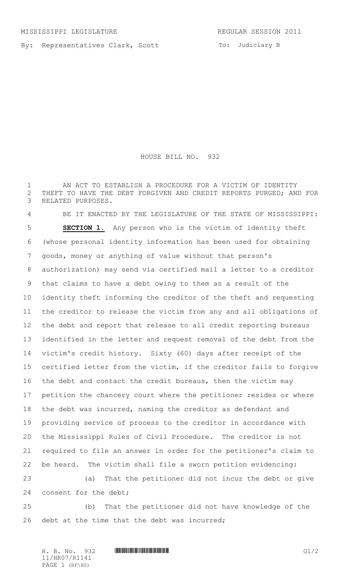By: Representatives Clark, Scott

To: Judiciary B

## HOUSE BILL NO. 932

 AN ACT TO ESTABLISH A PROCEDURE FOR A VICTIM OF IDENTITY THEFT TO HAVE THE DEBT FORGIVEN AND CREDIT REPORTS PURGED; AND FOR RELATED PURPOSES.

 BE IT ENACTED BY THE LEGISLATURE OF THE STATE OF MISSISSIPPI: **SECTION 1.** Any person who is the victim of identity theft (whose personal identity information has been used for obtaining goods, money or anything of value without that person's authorization) may send via certified mail a letter to a creditor that claims to have a debt owing to them as a result of the identity theft informing the creditor of the theft and requesting the creditor to release the victim from any and all obligations of the debt and report that release to all credit reporting bureaus identified in the letter and request removal of the debt from the victim's credit history. Sixty (60) days after receipt of the certified letter from the victim, if the creditor fails to forgive the debt and contact the credit bureaus, then the victim may petition the chancery court where the petitioner resides or where the debt was incurred, naming the creditor as defendant and providing service of process to the creditor in accordance with the Mississippi Rules of Civil Procedure. The creditor is not required to file an answer in order for the petitioner's claim to be heard. The victim shall file a sworn petition evidencing: (a) That the petitioner did not incur the debt or give

consent for the debt;

 (b) That the petitioner did not have knowledge of the 26 debt at the time that the debt was incurred;

11/HR07/R1141 PAGE 1 (RF\HS)

H. B. No. 932 **HROFF COMMUNISION COMMUNISION**